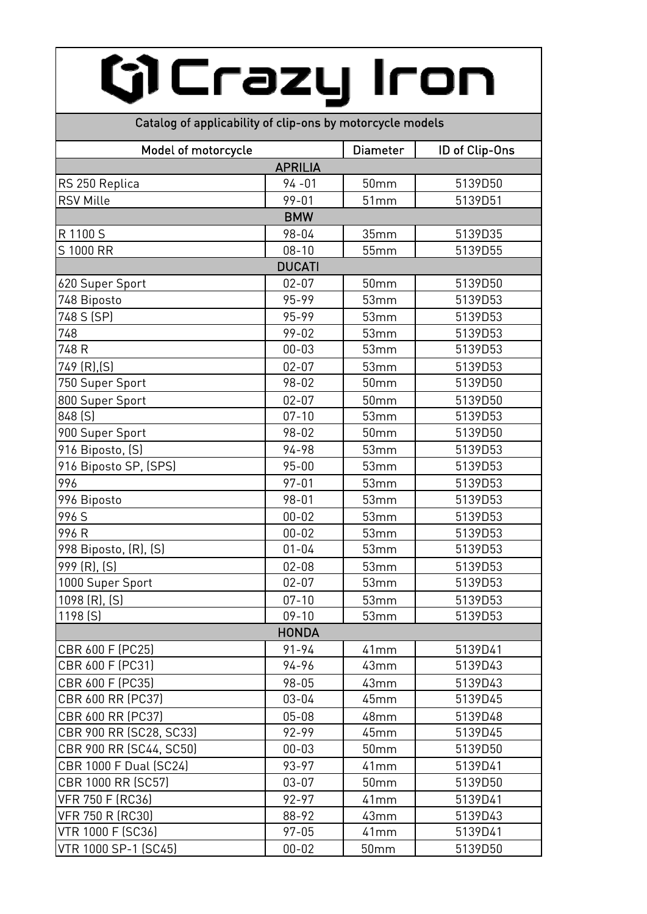## Gi Crazy Iron

## Catalog of applicability of clip-ons by motorcycle models

| Model of motorcycle      |                | <b>Diameter</b> | ID of Clip-Ons |
|--------------------------|----------------|-----------------|----------------|
|                          | <b>APRILIA</b> |                 |                |
| RS 250 Replica           | $94 - 01$      | 50mm            | 5139D50        |
| <b>RSV Mille</b>         | $99 - 01$      | 51mm            | 5139D51        |
|                          | <b>BMW</b>     |                 |                |
| R 1100 S                 | 98-04          | 35mm            | 5139D35        |
| S 1000 RR                | $08 - 10$      | 55mm            | 5139D55        |
|                          | <b>DUCATI</b>  |                 |                |
| 620 Super Sport          | $02 - 07$      | 50mm            | 5139D50        |
| 748 Biposto              | 95-99          | 53mm            | 5139D53        |
| 748 S (SP)               | 95-99          | 53mm            | 5139D53        |
| 748                      | $99 - 02$      | 53mm            | 5139D53        |
| 748 R                    | $00 - 03$      | 53mm            | 5139D53        |
| 749 (R), (S)             | $02 - 07$      | 53mm            | 5139D53        |
| 750 Super Sport          | 98-02          | 50mm            | 5139D50        |
| 800 Super Sport          | $02 - 07$      | 50mm            | 5139D50        |
| 848 (S)                  | $07 - 10$      | 53mm            | 5139D53        |
| 900 Super Sport          | 98-02          | 50mm            | 5139D50        |
| 916 Biposto, (S)         | 94-98          | 53mm            | 5139D53        |
| 916 Biposto SP, (SPS)    | $95 - 00$      | 53mm            | 5139D53        |
| 996                      | $97 - 01$      | 53mm            | 5139D53        |
| 996 Biposto              | $98 - 01$      | 53mm            | 5139D53        |
| 996 S                    | $00 - 02$      | 53mm            | 5139D53        |
| 996 R                    | $00 - 02$      | 53mm            | 5139D53        |
| 998 Biposto, (R), (S)    | $01 - 04$      | 53mm            | 5139D53        |
| 999 (R), (S)             | $02 - 08$      | 53mm            | 5139D53        |
| 1000 Super Sport         | $02 - 07$      | 53mm            | 5139D53        |
| 1098 (R), (S)            | $07 - 10$      | 53mm            | 5139D53        |
| 1198 (S)                 | $09 - 10$      | 53mm            | 5139D53        |
|                          | <b>HONDA</b>   |                 |                |
| CBR 600 F (PC25)         | $91 - 94$      | 41mm            | 5139D41        |
| CBR 600 F (PC31)         | 94-96          | 43mm            | 5139D43        |
| CBR 600 F (PC35)         | 98-05          | 43mm            | 5139D43        |
| CBR 600 RR (PC37)        | $03 - 04$      | 45mm            | 5139D45        |
| CBR 600 RR (PC37)        | $05 - 08$      | 48mm            | 5139D48        |
| CBR 900 RR (SC28, SC33)  | 92-99          | 45mm            | 5139D45        |
| CBR 900 RR (SC44, SC50)  | $00 - 03$      | 50mm            | 5139D50        |
| CBR 1000 F Dual (SC24)   | 93-97          | 41mm            | 5139D41        |
| CBR 1000 RR (SC57)       | $03 - 07$      | 50mm            | 5139D50        |
| <b>VFR 750 F (RC36)</b>  | 92-97          | 41mm            | 5139D41        |
| <b>VFR 750 R (RC30)</b>  | 88-92          | 43mm            | 5139D43        |
| <b>VTR 1000 F (SC36)</b> | $97 - 05$      | 41mm            | 5139D41        |
| VTR 1000 SP-1 (SC45)     | $00 - 02$      | 50mm            | 5139D50        |